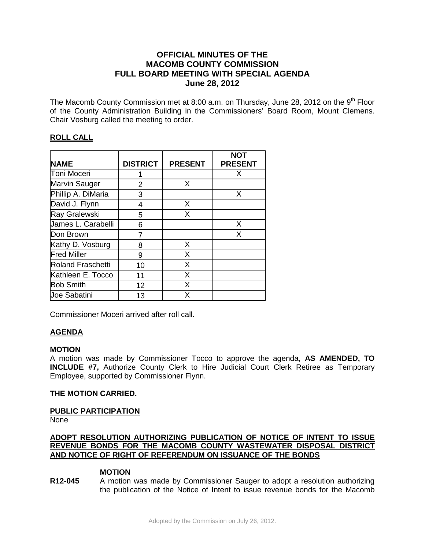# **OFFICIAL MINUTES OF THE MACOMB COUNTY COMMISSION FULL BOARD MEETING WITH SPECIAL AGENDA June 28, 2012**

The Macomb County Commission met at 8:00 a.m. on Thursday, June 28, 2012 on the  $9<sup>th</sup>$  Floor of the County Administration Building in the Commissioners' Board Room, Mount Clemens. Chair Vosburg called the meeting to order.

# **ROLL CALL**

|                          |                 |                | <b>NOT</b>     |
|--------------------------|-----------------|----------------|----------------|
| <b>NAME</b>              | <b>DISTRICT</b> | <b>PRESENT</b> | <b>PRESENT</b> |
| Toni Moceri              |                 |                | X              |
| <b>Marvin Sauger</b>     | 2               | X              |                |
| Phillip A. DiMaria       | 3               |                | X              |
| David J. Flynn           | 4               | X              |                |
| Ray Gralewski            | 5               | X              |                |
| James L. Carabelli       | 6               |                | X              |
| Don Brown                |                 |                | X              |
| Kathy D. Vosburg         | 8               | X              |                |
| <b>Fred Miller</b>       | 9               | X              |                |
| <b>Roland Fraschetti</b> | 10              | X              |                |
| Kathleen E. Tocco        | 11              | X              |                |
| <b>Bob Smith</b>         | 12              | X              |                |
| <b>Joe Sabatini</b>      | 13              | X              |                |

Commissioner Moceri arrived after roll call.

# **AGENDA**

#### **MOTION**

A motion was made by Commissioner Tocco to approve the agenda, **AS AMENDED, TO INCLUDE #7,** Authorize County Clerk to Hire Judicial Court Clerk Retiree as Temporary Employee, supported by Commissioner Flynn.

# **THE MOTION CARRIED.**

# **PUBLIC PARTICIPATION**

None

# **ADOPT RESOLUTION AUTHORIZING PUBLICATION OF NOTICE OF INTENT TO ISSUE REVENUE BONDS FOR THE MACOMB COUNTY WASTEWATER DISPOSAL DISTRICT AND NOTICE OF RIGHT OF REFERENDUM ON ISSUANCE OF THE BONDS**

# **MOTION**

**R12-045** A motion was made by Commissioner Sauger to adopt a resolution authorizing the publication of the Notice of Intent to issue revenue bonds for the Macomb